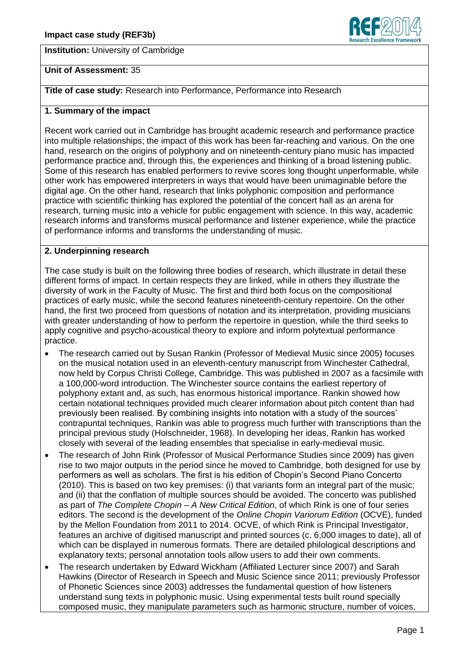**Institution:** University of Cambridge



## **Unit of Assessment:** 35

**Title of case study:** Research into Performance, Performance into Research

### **1. Summary of the impact**

Recent work carried out in Cambridge has brought academic research and performance practice into multiple relationships; the impact of this work has been far-reaching and various. On the one hand, research on the origins of polyphony and on nineteenth-century piano music has impacted performance practice and, through this, the experiences and thinking of a broad listening public. Some of this research has enabled performers to revive scores long thought unperformable, while other work has empowered interpreters in ways that would have been unimaginable before the digital age. On the other hand, research that links polyphonic composition and performance practice with scientific thinking has explored the potential of the concert hall as an arena for research, turning music into a vehicle for public engagement with science. In this way, academic research informs and transforms musical performance and listener experience, while the practice of performance informs and transforms the understanding of music.

### **2. Underpinning research**

The case study is built on the following three bodies of research, which illustrate in detail these different forms of impact. In certain respects they are linked, while in others they illustrate the diversity of work in the Faculty of Music. The first and third both focus on the compositional practices of early music, while the second features nineteenth-century repertoire. On the other hand, the first two proceed from questions of notation and its interpretation, providing musicians with greater understanding of how to perform the repertoire in question, while the third seeks to apply cognitive and psycho-acoustical theory to explore and inform polytextual performance practice.

- The research carried out by Susan Rankin (Professor of Medieval Music since 2005) focuses on the musical notation used in an eleventh-century manuscript from Winchester Cathedral, now held by Corpus Christi College, Cambridge. This was published in 2007 as a facsimile with a 100,000-word introduction. The Winchester source contains the earliest repertory of polyphony extant and, as such, has enormous historical importance. Rankin showed how certain notational techniques provided much clearer information about pitch content than had previously been realised. By combining insights into notation with a study of the sources' contrapuntal techniques, Rankin was able to progress much further with transcriptions than the principal previous study (Holschneider, 1968). In developing her ideas, Rankin has worked closely with several of the leading ensembles that specialise in early-medieval music.
- The research of John Rink (Professor of Musical Performance Studies since 2009) has given rise to two major outputs in the period since he moved to Cambridge, both designed for use by performers as well as scholars. The first is his edition of Chopin's Second Piano Concerto (2010). This is based on two key premises: (i) that variants form an integral part of the music; and (ii) that the conflation of multiple sources should be avoided. The concerto was published as part of *The Complete Chopin – A New Critical Edition*, of which Rink is one of four series editors. The second is the development of the *Online Chopin Variorum Edition* (OCVE), funded by the Mellon Foundation from 2011 to 2014. OCVE, of which Rink is Principal Investigator, features an archive of digitised manuscript and printed sources (c. 6,000 images to date), all of which can be displayed in numerous formats. There are detailed philological descriptions and explanatory texts; personal annotation tools allow users to add their own comments.
- The research undertaken by Edward Wickham (Affiliated Lecturer since 2007) and Sarah Hawkins (Director of Research in Speech and Music Science since 2011; previously Professor of Phonetic Sciences since 2003) addresses the fundamental question of how listeners understand sung texts in polyphonic music. Using experimental tests built round specially composed music, they manipulate parameters such as harmonic structure, number of voices,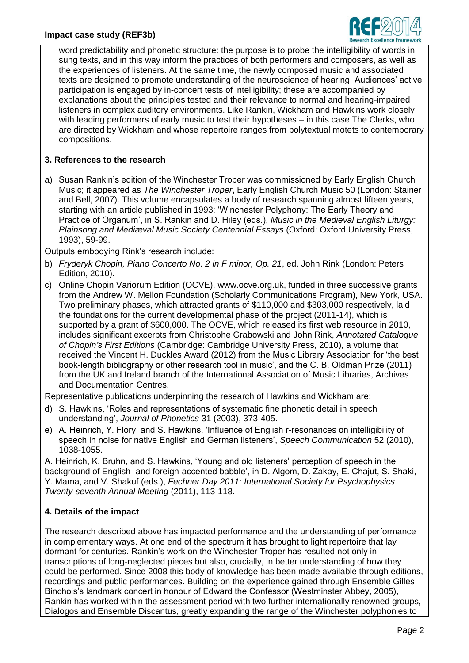

word predictability and phonetic structure: the purpose is to probe the intelligibility of words in sung texts, and in this way inform the practices of both performers and composers, as well as the experiences of listeners. At the same time, the newly composed music and associated texts are designed to promote understanding of the neuroscience of hearing. Audiences' active participation is engaged by in-concert tests of intelligibility; these are accompanied by explanations about the principles tested and their relevance to normal and hearing-impaired listeners in complex auditory environments. Like Rankin, Wickham and Hawkins work closely with leading performers of early music to test their hypotheses – in this case The Clerks, who are directed by Wickham and whose repertoire ranges from polytextual motets to contemporary compositions.

# **3. References to the research**

a) Susan Rankin's edition of the Winchester Troper was commissioned by Early English Church Music; it appeared as *The Winchester Troper*, Early English Church Music 50 (London: Stainer and Bell, 2007). This volume encapsulates a body of research spanning almost fifteen years, starting with an article published in 1993: 'Winchester Polyphony: The Early Theory and Practice of Organum', in S. Rankin and D. Hiley (eds.), *Music in the Medieval English Liturgy: Plainsong and Mediæval Music Society Centennial Essays* (Oxford: Oxford University Press, 1993), 59-99.

Outputs embodying Rink's research include:

- b) *Fryderyk Chopin, Piano Concerto No. 2 in F minor, Op. 21*, ed. John Rink (London: Peters Edition, 2010).
- c) Online Chopin Variorum Edition (OCVE), www.ocve.org.uk, funded in three successive grants from the Andrew W. Mellon Foundation (Scholarly Communications Program), New York, USA. Two preliminary phases, which attracted grants of \$110,000 and \$303,000 respectively, laid the foundations for the current developmental phase of the project (2011-14), which is supported by a grant of \$600,000. The OCVE, which released its first web resource in 2010, includes significant excerpts from Christophe Grabowski and John Rink, *Annotated Catalogue of Chopin's First Editions* (Cambridge: Cambridge University Press, 2010), a volume that received the Vincent H. Duckles Award (2012) from the Music Library Association for 'the best book-length bibliography or other research tool in music', and the C. B. Oldman Prize (2011) from the UK and Ireland branch of the International Association of Music Libraries, Archives and Documentation Centres.

Representative publications underpinning the research of Hawkins and Wickham are:

- d) S. Hawkins, 'Roles and representations of systematic fine phonetic detail in speech understanding', *Journal of Phonetics* 31 (2003), 373-405.
- e) A. Heinrich, Y. Flory, and S. Hawkins, 'Influence of English r-resonances on intelligibility of speech in noise for native English and German listeners', *Speech Communication* 52 (2010), 1038-1055.

A. Heinrich, K. Bruhn, and S. Hawkins, 'Young and old listeners' perception of speech in the background of English- and foreign-accented babble', in D. Algom, D. Zakay, E. Chajut, S. Shaki, Y. Mama, and V. Shakuf (eds.), *Fechner Day 2011: International Society for Psychophysics Twenty-seventh Annual Meeting* (2011), 113-118.

# **4. Details of the impact**

The research described above has impacted performance and the understanding of performance in complementary ways. At one end of the spectrum it has brought to light repertoire that lay dormant for centuries. Rankin's work on the Winchester Troper has resulted not only in transcriptions of long-neglected pieces but also, crucially, in better understanding of how they could be performed. Since 2008 this body of knowledge has been made available through editions, recordings and public performances. Building on the experience gained through Ensemble Gilles Binchois's landmark concert in honour of Edward the Confessor (Westminster Abbey, 2005), Rankin has worked within the assessment period with two further internationally renowned groups, Dialogos and Ensemble Discantus, greatly expanding the range of the Winchester polyphonies to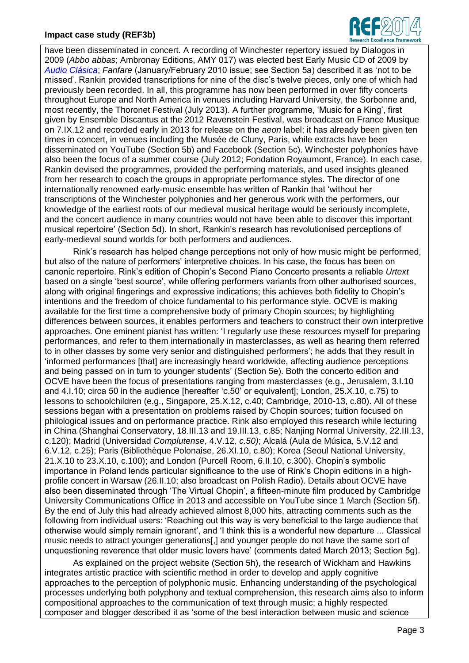## **Impact case study (REF3b)**



have been disseminated in concert. A recording of Winchester repertory issued by Dialogos in 2009 (*Abbo abbas*; Ambronay Editions, AMY 017) was elected best Early Music CD of 2009 by *[Audio Clásica](http://www.grupov.es/administrador/asp/contenido_revista.asp?id_articulo=7850&id_revista_combo_parametro=1761&id_revista_combo=1761&revista_combo=24&id_revista=24&elmes=156&redir=cabecera¶m=miralo&)*; *Fanfare* (January/February 2010 issue; see Section 5a) described it as 'not to be missed'. Rankin provided transcriptions for nine of the disc's twelve pieces, only one of which had previously been recorded. In all, this programme has now been performed in over fifty concerts throughout Europe and North America in venues including Harvard University, the Sorbonne and, most recently, the Thoronet Festival (July 2013). A further programme, 'Music for a King', first given by Ensemble Discantus at the 2012 Ravenstein Festival, was broadcast on France Musique on 7.IX.12 and recorded early in 2013 for release on the *aeon* label; it has already been given ten times in concert, in venues including the Musée de Cluny, Paris, while extracts have been disseminated on YouTube (Section 5b) and Facebook (Section 5c). Winchester polyphonies have also been the focus of a summer course (July 2012; Fondation Royaumont, France). In each case, Rankin devised the programmes, provided the performing materials, and used insights gleaned from her research to coach the groups in appropriate performance styles. The director of one internationally renowned early-music ensemble has written of Rankin that 'without her transcriptions of the Winchester polyphonies and her generous work with the performers, our knowledge of the earliest roots of our medieval musical heritage would be seriously incomplete, and the concert audience in many countries would not have been able to discover this important musical repertoire' (Section 5d). In short, Rankin's research has revolutionised perceptions of early-medieval sound worlds for both performers and audiences.

Rink's research has helped change perceptions not only of how music might be performed, but also of the nature of performers' interpretive choices. In his case, the focus has been on canonic repertoire. Rink's edition of Chopin's Second Piano Concerto presents a reliable *Urtext* based on a single 'best source', while offering performers variants from other authorised sources, along with original fingerings and expressive indications; this achieves both fidelity to Chopin's intentions and the freedom of choice fundamental to his performance style. OCVE is making available for the first time a comprehensive body of primary Chopin sources; by highlighting differences between sources, it enables performers and teachers to construct their own interpretive approaches. One eminent pianist has written: 'I regularly use these resources myself for preparing performances, and refer to them internationally in masterclasses, as well as hearing them referred to in other classes by some very senior and distinguished performers'; he adds that they result in 'informed performances [that] are increasingly heard worldwide, affecting audience perceptions and being passed on in turn to younger students' (Section 5e). Both the concerto edition and OCVE have been the focus of presentations ranging from masterclasses (e.g., Jerusalem, 3.I.10 and 4.I.10; circa 50 in the audience [hereafter 'c.50' or equivalent]; London, 25.X.10, c.75) to lessons to schoolchildren (e.g., Singapore, 25.X.12, c.40; Cambridge, 2010-13, c.80). All of these sessions began with a presentation on problems raised by Chopin sources; tuition focused on philological issues and on performance practice. Rink also employed this research while lecturing in China (Shanghai Conservatory, 18.III.13 and 19.III.13, c.85; Nanjing Normal University, 22.III.13, c.120); Madrid (Universidad *Complutense*, 4.V.12*, c.50)*; Alcalá (Aula de Música, 5.V.12 and 6.V.12, c.25); Paris (Bibliothèque Polonaise, 26.XI.10, c.80); Korea (Seoul National University, 21.X.10 to 23.X.10, c.100); and London (Purcell Room, 6.II.10, c.300). Chopin's symbolic importance in Poland lends particular significance to the use of Rink's Chopin editions in a highprofile concert in Warsaw (26.II.10; also broadcast on Polish Radio). Details about OCVE have also been disseminated through 'The Virtual Chopin', a fifteen-minute film produced by Cambridge University Communications Office in 2013 and accessible on YouTube since 1 March (Section 5f). By the end of July this had already achieved almost 8,000 hits, attracting comments such as the following from individual users: 'Reaching out this way is very beneficial to the large audience that otherwise would simply remain ignorant', and 'I think this is a wonderful new departure ... Classical music needs to attract younger generations[,] and younger people do not have the same sort of unquestioning reverence that older music lovers have' (comments dated March 2013; Section 5g).

As explained on the project website (Section 5h), the research of Wickham and Hawkins integrates artistic practice with scientific method in order to develop and apply cognitive approaches to the perception of polyphonic music. Enhancing understanding of the psychological processes underlying both polyphony and textual comprehension, this research aims also to inform compositional approaches to the communication of text through music; a highly respected composer and blogger described it as 'some of the best interaction between music and science